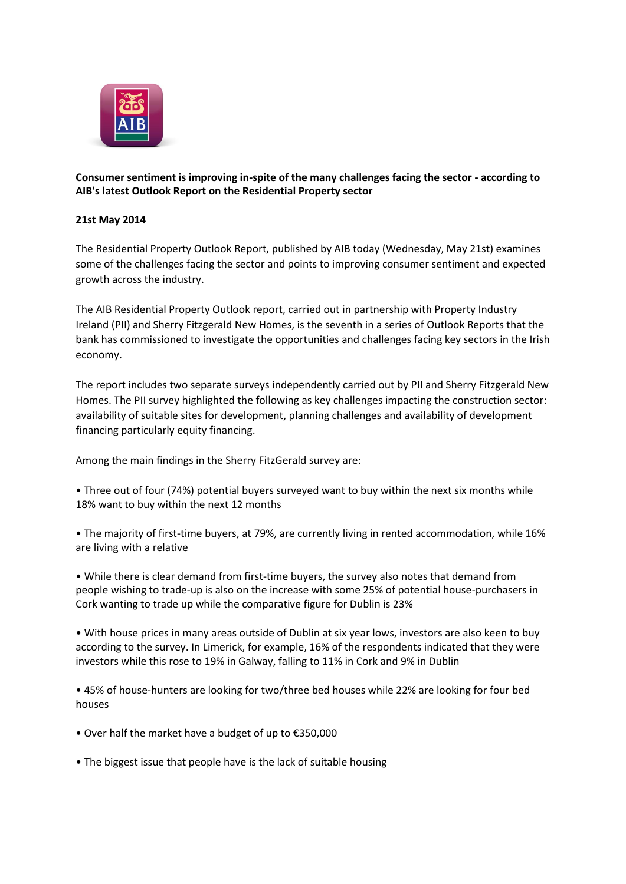

**Consumer sentiment is improving in-spite of the many challenges facing the sector - according to AIB's latest Outlook Report on the Residential Property sector**

## **21st May 2014**

The Residential Property Outlook Report, published by AIB today (Wednesday, May 21st) examines some of the challenges facing the sector and points to improving consumer sentiment and expected growth across the industry.

The AIB Residential Property Outlook report, carried out in partnership with Property Industry Ireland (PII) and Sherry Fitzgerald New Homes, is the seventh in a series of Outlook Reports that the bank has commissioned to investigate the opportunities and challenges facing key sectors in the Irish economy.

The report includes two separate surveys independently carried out by PII and Sherry Fitzgerald New Homes. The PII survey highlighted the following as key challenges impacting the construction sector: availability of suitable sites for development, planning challenges and availability of development financing particularly equity financing.

Among the main findings in the Sherry FitzGerald survey are:

- Three out of four (74%) potential buyers surveyed want to buy within the next six months while 18% want to buy within the next 12 months
- The majority of first-time buyers, at 79%, are currently living in rented accommodation, while 16% are living with a relative
- While there is clear demand from first-time buyers, the survey also notes that demand from people wishing to trade-up is also on the increase with some 25% of potential house-purchasers in Cork wanting to trade up while the comparative figure for Dublin is 23%

• With house prices in many areas outside of Dublin at six year lows, investors are also keen to buy according to the survey. In Limerick, for example, 16% of the respondents indicated that they were investors while this rose to 19% in Galway, falling to 11% in Cork and 9% in Dublin

• 45% of house-hunters are looking for two/three bed houses while 22% are looking for four bed houses

- Over half the market have a budget of up to €350,000
- The biggest issue that people have is the lack of suitable housing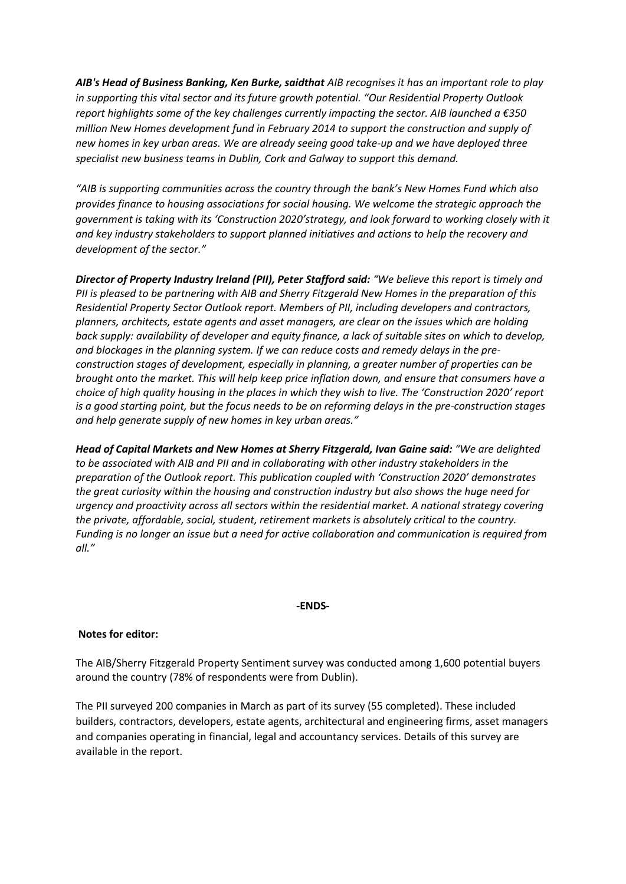*AIB's Head of Business Banking, Ken Burke, saidthat AIB recognises it has an important role to play in supporting this vital sector and its future growth potential. "Our Residential Property Outlook report highlights some of the key challenges currently impacting the sector. AIB launched a €350 million New Homes development fund in February 2014 to support the construction and supply of new homes in key urban areas. We are already seeing good take-up and we have deployed three specialist new business teams in Dublin, Cork and Galway to support this demand.*

*"AIB is supporting communities across the country through the bank's New Homes Fund which also provides finance to housing associations for social housing. We welcome the strategic approach the government is taking with its 'Construction 2020'strategy, and look forward to working closely with it and key industry stakeholders to support planned initiatives and actions to help the recovery and development of the sector."*

*Director of Property Industry Ireland (PII), Peter Stafford said: "We believe this report is timely and PII is pleased to be partnering with AIB and Sherry Fitzgerald New Homes in the preparation of this Residential Property Sector Outlook report. Members of PII, including developers and contractors, planners, architects, estate agents and asset managers, are clear on the issues which are holding back supply: availability of developer and equity finance, a lack of suitable sites on which to develop, and blockages in the planning system. If we can reduce costs and remedy delays in the preconstruction stages of development, especially in planning, a greater number of properties can be brought onto the market. This will help keep price inflation down, and ensure that consumers have a choice of high quality housing in the places in which they wish to live. The 'Construction 2020' report is a good starting point, but the focus needs to be on reforming delays in the pre-construction stages and help generate supply of new homes in key urban areas."*

*Head of Capital Markets and New Homes at Sherry Fitzgerald, Ivan Gaine said: "We are delighted to be associated with AIB and PII and in collaborating with other industry stakeholders in the preparation of the Outlook report. This publication coupled with 'Construction 2020' demonstrates the great curiosity within the housing and construction industry but also shows the huge need for urgency and proactivity across all sectors within the residential market. A national strategy covering the private, affordable, social, student, retirement markets is absolutely critical to the country. Funding is no longer an issue but a need for active collaboration and communication is required from all."*

## **-ENDS-**

## **Notes for editor:**

The AIB/Sherry Fitzgerald Property Sentiment survey was conducted among 1,600 potential buyers around the country (78% of respondents were from Dublin).

The PII surveyed 200 companies in March as part of its survey (55 completed). These included builders, contractors, developers, estate agents, architectural and engineering firms, asset managers and companies operating in financial, legal and accountancy services. Details of this survey are available in the report.